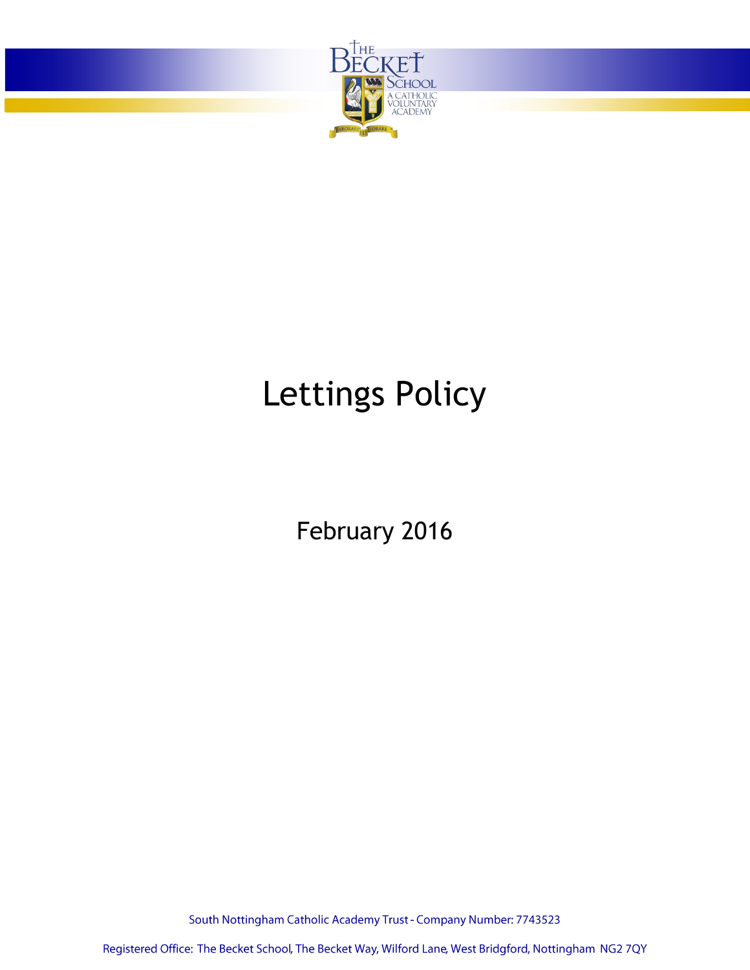

# Lettings Policy

February 2016

South Nottingham Catholic Academy Trust - Company Number: 7743523

Registered Office: The Becket School, The Becket Way, Wilford Lane, West Bridgford, Nottingham NG2 7QY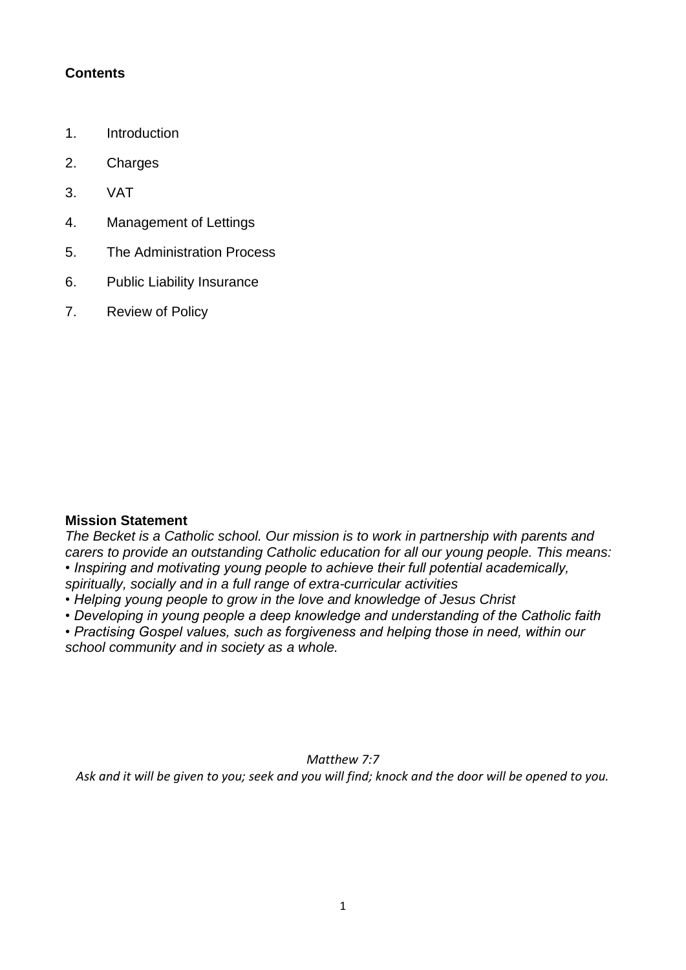#### **Contents**

- 1. Introduction
- 2. Charges
- 3. VAT
- 4. Management of Lettings
- 5. The Administration Process
- 6. Public Liability Insurance
- 7. Review of Policy

#### **Mission Statement**

*The Becket is a Catholic school. Our mission is to work in partnership with parents and carers to provide an outstanding Catholic education for all our young people. This means: • Inspiring and motivating young people to achieve their full potential academically, spiritually, socially and in a full range of extra-curricular activities*

*• Helping young people to grow in the love and knowledge of Jesus Christ*

*• Developing in young people a deep knowledge and understanding of the Catholic faith*

*• Practising Gospel values, such as forgiveness and helping those in need, within our school community and in society as a whole.*

*Matthew 7:7 Ask and it will be given to you; seek and you will find; knock and the door will be opened to you.*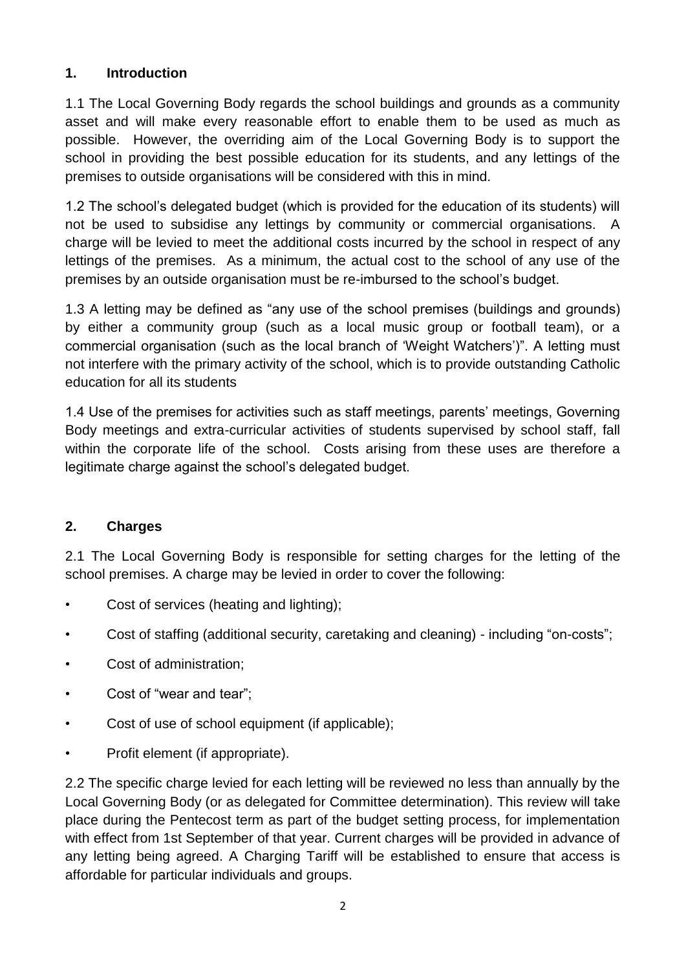# **1. Introduction**

1.1 The Local Governing Body regards the school buildings and grounds as a community asset and will make every reasonable effort to enable them to be used as much as possible. However, the overriding aim of the Local Governing Body is to support the school in providing the best possible education for its students, and any lettings of the premises to outside organisations will be considered with this in mind.

1.2 The school's delegated budget (which is provided for the education of its students) will not be used to subsidise any lettings by community or commercial organisations. A charge will be levied to meet the additional costs incurred by the school in respect of any lettings of the premises. As a minimum, the actual cost to the school of any use of the premises by an outside organisation must be re-imbursed to the school's budget.

1.3 A letting may be defined as "any use of the school premises (buildings and grounds) by either a community group (such as a local music group or football team), or a commercial organisation (such as the local branch of 'Weight Watchers')". A letting must not interfere with the primary activity of the school, which is to provide outstanding Catholic education for all its students

1.4 Use of the premises for activities such as staff meetings, parents' meetings, Governing Body meetings and extra-curricular activities of students supervised by school staff, fall within the corporate life of the school. Costs arising from these uses are therefore a legitimate charge against the school's delegated budget.

# **2. Charges**

2.1 The Local Governing Body is responsible for setting charges for the letting of the school premises. A charge may be levied in order to cover the following:

- Cost of services (heating and lighting);
- Cost of staffing (additional security, caretaking and cleaning) including "on-costs";
- Cost of administration;
- Cost of "wear and tear";
- Cost of use of school equipment (if applicable);
- Profit element (if appropriate).

2.2 The specific charge levied for each letting will be reviewed no less than annually by the Local Governing Body (or as delegated for Committee determination). This review will take place during the Pentecost term as part of the budget setting process, for implementation with effect from 1st September of that year. Current charges will be provided in advance of any letting being agreed. A Charging Tariff will be established to ensure that access is affordable for particular individuals and groups.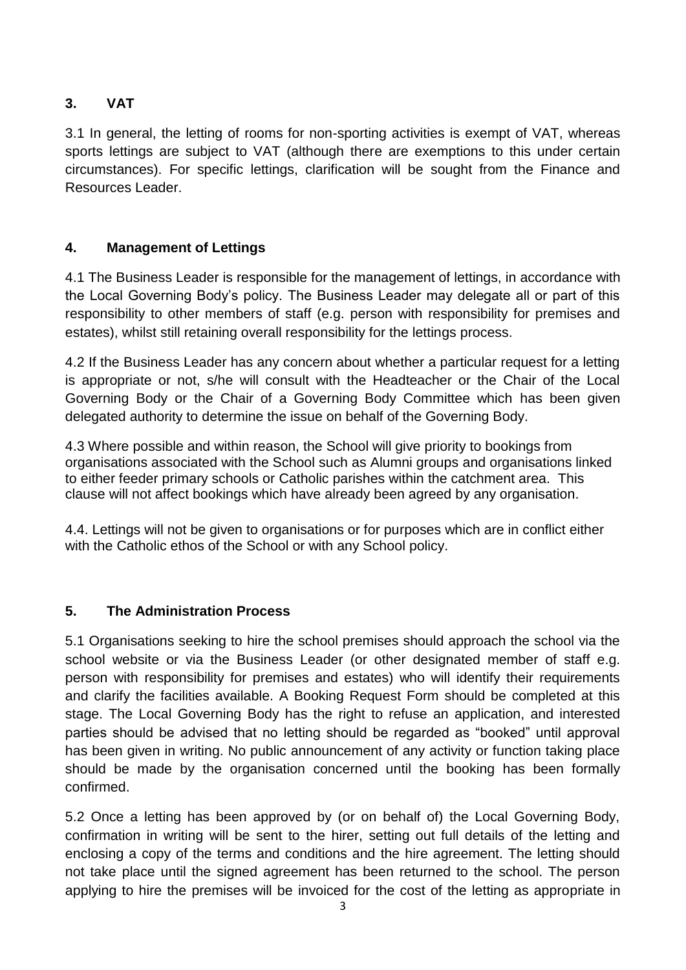# **3. VAT**

3.1 In general, the letting of rooms for non-sporting activities is exempt of VAT, whereas sports lettings are subject to VAT (although there are exemptions to this under certain circumstances). For specific lettings, clarification will be sought from the Finance and Resources Leader.

### **4. Management of Lettings**

4.1 The Business Leader is responsible for the management of lettings, in accordance with the Local Governing Body's policy. The Business Leader may delegate all or part of this responsibility to other members of staff (e.g. person with responsibility for premises and estates), whilst still retaining overall responsibility for the lettings process.

4.2 If the Business Leader has any concern about whether a particular request for a letting is appropriate or not, s/he will consult with the Headteacher or the Chair of the Local Governing Body or the Chair of a Governing Body Committee which has been given delegated authority to determine the issue on behalf of the Governing Body.

4.3 Where possible and within reason, the School will give priority to bookings from organisations associated with the School such as Alumni groups and organisations linked to either feeder primary schools or Catholic parishes within the catchment area. This clause will not affect bookings which have already been agreed by any organisation.

4.4. Lettings will not be given to organisations or for purposes which are in conflict either with the Catholic ethos of the School or with any School policy.

# **5. The Administration Process**

5.1 Organisations seeking to hire the school premises should approach the school via the school website or via the Business Leader (or other designated member of staff e.g. person with responsibility for premises and estates) who will identify their requirements and clarify the facilities available. A Booking Request Form should be completed at this stage. The Local Governing Body has the right to refuse an application, and interested parties should be advised that no letting should be regarded as "booked" until approval has been given in writing. No public announcement of any activity or function taking place should be made by the organisation concerned until the booking has been formally confirmed.

5.2 Once a letting has been approved by (or on behalf of) the Local Governing Body, confirmation in writing will be sent to the hirer, setting out full details of the letting and enclosing a copy of the terms and conditions and the hire agreement. The letting should not take place until the signed agreement has been returned to the school. The person applying to hire the premises will be invoiced for the cost of the letting as appropriate in